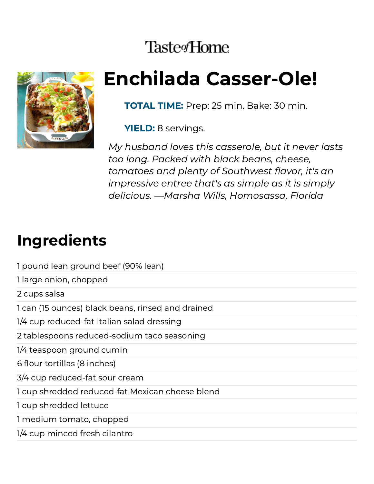## **Taste**<sup>Home</sup>



# Enchilada Casser-Ole!

TOTAL TIME: Prep: 25 min. Bake: 30 min.

YIELD: 8 servings.

My husband loves this casserole, but it never lasts too long. Packed with black beans, cheese, tomatoes and plenty of Southwest flavor, it's an impressive entree that's as simple as it is simply delicious. —Marsha Wills, Homosassa, Florida

# Ingredients

| 1 pound lean ground beef (90% lean)               |
|---------------------------------------------------|
| 1 large onion, chopped                            |
| 2 cups salsa                                      |
| 1 can (15 ounces) black beans, rinsed and drained |
| 1/4 cup reduced-fat Italian salad dressing        |
| 2 tablespoons reduced-sodium taco seasoning       |
| 1/4 teaspoon ground cumin                         |
| 6 flour tortillas (8 inches)                      |
| 3/4 cup reduced-fat sour cream                    |
| 1 cup shredded reduced-fat Mexican cheese blend   |
| 1 cup shredded lettuce                            |
| 1 medium tomato, chopped                          |
| 1/4 cup minced fresh cilantro                     |